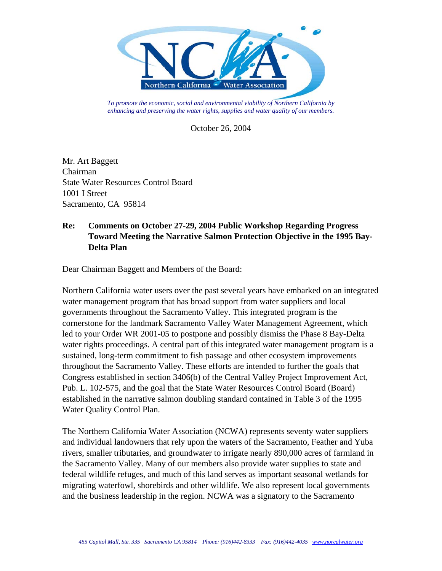

*To promote the economic, social and environmental viability of Northern California by enhancing and preserving the water rights, supplies and water quality of our members.* 

October 26, 2004

Mr. Art Baggett Chairman State Water Resources Control Board 1001 I Street Sacramento, CA 95814

## **Re: Comments on October 27-29, 2004 Public Workshop Regarding Progress Toward Meeting the Narrative Salmon Protection Objective in the 1995 Bay-Delta Plan**

Dear Chairman Baggett and Members of the Board:

Northern California water users over the past several years have embarked on an integrated water management program that has broad support from water suppliers and local governments throughout the Sacramento Valley. This integrated program is the cornerstone for the landmark Sacramento Valley Water Management Agreement, which led to your Order WR 2001-05 to postpone and possibly dismiss the Phase 8 Bay-Delta water rights proceedings. A central part of this integrated water management program is a sustained, long-term commitment to fish passage and other ecosystem improvements throughout the Sacramento Valley. These efforts are intended to further the goals that Congress established in section 3406(b) of the Central Valley Project Improvement Act, Pub. L. 102-575, and the goal that the State Water Resources Control Board (Board) established in the narrative salmon doubling standard contained in Table 3 of the 1995 Water Quality Control Plan.

The Northern California Water Association (NCWA) represents seventy water suppliers and individual landowners that rely upon the waters of the Sacramento, Feather and Yuba rivers, smaller tributaries, and groundwater to irrigate nearly 890,000 acres of farmland in the Sacramento Valley. Many of our members also provide water supplies to state and federal wildlife refuges, and much of this land serves as important seasonal wetlands for migrating waterfowl, shorebirds and other wildlife. We also represent local governments and the business leadership in the region. NCWA was a signatory to the Sacramento